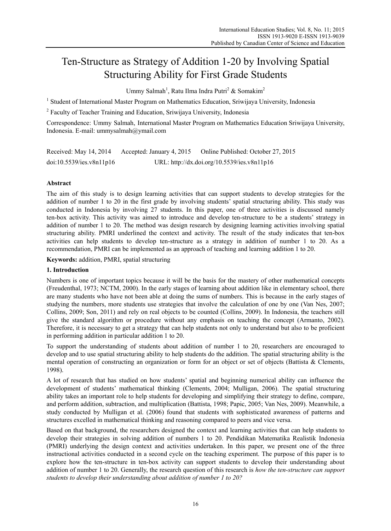# Ten-Structure as Strategy of Addition 1-20 by Involving Spatial Structuring Ability for First Grade Students

Ummy Salmah<sup>1</sup>, Ratu Ilma Indra Putri<sup>2</sup> & Somakim<sup>2</sup>

<sup>1</sup> Student of International Master Program on Mathematics Education, Sriwijaya University, Indonesia

<sup>2</sup> Faculty of Teacher Training and Education, Sriwijaya University, Indonesia

Correspondence: Ummy Salmah, International Master Program on Mathematics Education Sriwijaya University, Indonesia. E-mail: ummysalmah@ymail.com

| Received: May 14, 2014   | Accepted: January 4, 2015 | Online Published: October 27, 2015          |
|--------------------------|---------------------------|---------------------------------------------|
| doi:10.5539/ies.v8n11p16 |                           | URL: http://dx.doi.org/10.5539/ies.v8n11p16 |

# **Abstract**

The aim of this study is to design learning activities that can support students to develop strategies for the addition of number 1 to 20 in the first grade by involving students' spatial structuring ability. This study was conducted in Indonesia by involving 27 students. In this paper, one of three activities is discussed namely ten-box activity. This activity was aimed to introduce and develop ten-structure to be a students' strategy in addition of number 1 to 20. The method was design research by designing learning activities involving spatial structuring ability. PMRI underlined the context and activity. The result of the study indicates that ten-box activities can help students to develop ten-structure as a strategy in addition of number 1 to 20. As a recommendation, PMRI can be implemented as an approach of teaching and learning addition 1 to 20.

**Keywords:** addition, PMRI, spatial structuring

# **1. Introduction**

Numbers is one of important topics because it will be the basis for the mastery of other mathematical concepts (Freudenthal, 1973; NCTM, 2000). In the early stages of learning about addition like in elementary school, there are many students who have not been able at doing the sums of numbers. This is because in the early stages of studying the numbers, more students use strategies that involve the calculation of one by one (Van Nes, 2007; Collins, 2009; Son, 2011) and rely on real objects to be counted (Collins, 2009). In Indonesia, the teachers still give the standard algorithm or procedure without any emphasis on teaching the concept (Armanto, 2002). Therefore, it is necessary to get a strategy that can help students not only to understand but also to be proficient in performing addition in particular addition 1 to 20.

To support the understanding of students about addition of number 1 to 20, researchers are encouraged to develop and to use spatial structuring ability to help students do the addition. The spatial structuring ability is the mental operation of constructing an organization or form for an object or set of objects (Battista & Clements, 1998).

A lot of research that has studied on how students' spatial and beginning numerical ability can influence the development of students' mathematical thinking (Clements, 2004; Mulligan, 2006). The spatial structuring ability takes an important role to help students for developing and simplifying their strategy to define, compare, and perform addition, subtraction, and multiplication (Battista, 1998; Papic, 2005; Van Nes, 2009). Meanwhile, a study conducted by Mulligan et al. (2006) found that students with sophisticated awareness of patterns and structures excelled in mathematical thinking and reasoning compared to peers and vice versa.

Based on that background, the researchers designed the context and learning activities that can help students to develop their strategies in solving addition of numbers 1 to 20. Pendidikan Matematika Realistik Indonesia (PMRI) underlying the design context and activities undertaken. In this paper, we present one of the three instructional activities conducted in a second cycle on the teaching experiment. The purpose of this paper is to explore how the ten-structure in ten-box activity can support students to develop their understanding about addition of number 1 to 20. Generally, the research question of this research is *how the ten-structure can support students to develop their understanding about addition of number 1 to 20?*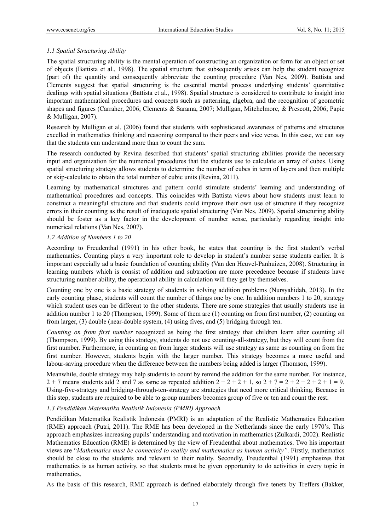# *1.1 Spatial Structuring Ability*

The spatial structuring ability is the mental operation of constructing an organization or form for an object or set of objects (Battista et al., 1998). The spatial structure that subsequently arises can help the student recognize (part of) the quantity and consequently abbreviate the counting procedure (Van Nes, 2009). Battista and Clements suggest that spatial structuring is the essential mental process underlying students' quantitative dealings with spatial situations (Battista et al., 1998). Spatial structure is considered to contribute to insight into important mathematical procedures and concepts such as patterning, algebra, and the recognition of geometric shapes and figures (Carraher, 2006; Clements & Sarama, 2007; Mulligan, Mitchelmore, & Prescott, 2006; Papic & Mulligan, 2007).

Research by Mulligan et al. (2006) found that students with sophisticated awareness of patterns and structures excelled in mathematics thinking and reasoning compared to their peers and vice versa. In this case, we can say that the students can understand more than to count the sum.

The research conducted by Revina described that students' spatial structuring abilities provide the necessary input and organization for the numerical procedures that the students use to calculate an array of cubes. Using spatial structuring strategy allows students to determine the number of cubes in term of layers and then multiple or skip-calculate to obtain the total number of cubic units (Revina, 2011).

Learning by mathematical structures and pattern could stimulate students' learning and understanding of mathematical procedures and concepts. This coincides with Battista views about how students must learn to construct a meaningful structure and that students could improve their own use of structure if they recognize errors in their counting as the result of inadequate spatial structuring (Van Nes, 2009). Spatial structuring ability should be foster as a key factor in the development of number sense, particularly regarding insight into numerical relations (Van Nes, 2007).

## *1.2 Addition of Numbers 1 to 20*

According to Freudenthal (1991) in his other book, he states that counting is the first student's verbal mathematics. Counting plays a very important role to develop in student's number sense students earlier. It is important especially ad a basic foundation of counting ability (Van den Heuvel-Panhuizen, 2008). Structuring in learning numbers which is consist of addition and subtraction are more precedence because if students have structuring number ability, the operational ability in calculation will they get by themselves.

Counting one by one is a basic strategy of students in solving addition problems (Nursyahidah, 2013). In the early counting phase, students will count the number of things one by one. In addition numbers 1 to 20, strategy which student uses can be different to the other students. There are some strategies that usually students use in addition number 1 to 20 (Thompson, 1999). Some of them are (1) counting on from first number, (2) counting on from larger, (3) double (near-double system, (4) using fives, and (5) bridging through ten.

*Counting on from first number* recognized as being the first strategy that children learn after counting all (Thompson, 1999). By using this strategy, students do not use counting-all-strategy, but they will count from the first number. Furthermore, in counting on from larger students will use strategy as same as counting on from the first number. However, students begin with the larger number. This strategy becomes a more useful and labour-saving procedure when the difference between the numbers being added is larger (Thomson, 1999).

Meanwhile, double strategy may help students to count by remind the addition for the same number. For instance,  $2 + 7$  means students add 2 and 7 as same as repeated addition  $2 + 2 + 2 + 1$ , so  $2 + 7 = 2 + 2 + 2 + 2 + 1 = 9$ . Using-five-strategy and bridging-through-ten-strategy are strategies that need more critical thinking. Because in this step, students are required to be able to group numbers becomes group of five or ten and count the rest.

# *1.3 Pendidikan Matematika Realistik Indonesia (PMRI) Approach*

Pendidikan Matematika Realistik Indonesia (PMRI) is an adaptation of the Realistic Mathematics Education (RME) approach (Putri, 2011). The RME has been developed in the Netherlands since the early 1970's. This approach emphasizes increasing pupils' understanding and motivation in mathematics (Zulkardi, 2002). Realistic Mathematics Education (RME) is determined by the view of Freudenthal about mathematics. Two his important views are "*Mathematics must be connected to reality and mathematics as human activity"*. Firstly, mathematics should be close to the students and relevant to their reality. Secondly, Freudenthal (1991) emphasizes that mathematics is as human activity, so that students must be given opportunity to do activities in every topic in mathematics.

As the basis of this research, RME approach is defined elaborately through five tenets by Treffers (Bakker,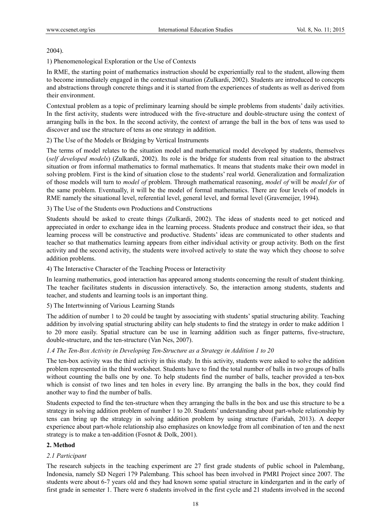2004).

1) Phenomenological Exploration or the Use of Contexts

In RME, the starting point of mathematics instruction should be experientially real to the student, allowing them to become immediately engaged in the contextual situation (Zulkardi, 2002). Students are introduced to concepts and abstractions through concrete things and it is started from the experiences of students as well as derived from their environment.

Contextual problem as a topic of preliminary learning should be simple problems from students' daily activities. In the first activity, students were introduced with the five-structure and double-structure using the context of arranging balls in the box. In the second activity, the context of arrange the ball in the box of tens was used to discover and use the structure of tens as one strategy in addition.

## 2) The Use of the Models or Bridging by Vertical Instruments

The terms of model relates to the situation model and mathematical model developed by students, themselves (*self developed models*) (Zulkardi, 2002). Its role is the bridge for students from real situation to the abstract situation or from informal mathematics to formal mathematics. It means that students make their own model in solving problem. First is the kind of situation close to the students' real world. Generalization and formalization of those models will turn to *model of* problem. Through mathematical reasoning, *model of* will be *model for* of the same problem. Eventually, it will be the model of formal mathematics. There are four levels of models in RME namely the situational level, referential level, general level, and formal level (Gravemeijer, 1994).

3) The Use of the Students own Productions and Constructions

Students should be asked to create things (Zulkardi, 2002). The ideas of students need to get noticed and appreciated in order to exchange idea in the learning process. Students produce and construct their idea, so that learning process will be constructive and productive. Students' ideas are communicated to other students and teacher so that mathematics learning appears from either individual activity or group activity. Both on the first activity and the second activity, the students were involved actively to state the way which they choose to solve addition problems.

4) The Interactive Character of the Teaching Process or Interactivity

In learning mathematics, good interaction has appeared among students concerning the result of student thinking. The teacher facilitates students in discussion interactively. So, the interaction among students, students and teacher, and students and learning tools is an important thing.

5) The Intertwinning of Various Learning Stands

The addition of number 1 to 20 could be taught by associating with students' spatial structuring ability. Teaching addition by involving spatial structuring ability can help students to find the strategy in order to make addition 1 to 20 more easily. Spatial structure can be use in learning addition such as finger patterns, five-structure, double-structure, and the ten-structure (Van Nes, 2007).

#### *1.4 The Ten-Box Activity in Developing Ten-Structure as a Strategy in Addition 1 to 20*

The ten-box activity was the third activity in this study. In this activity, students were asked to solve the addition problem represented in the third worksheet. Students have to find the total number of balls in two groups of balls without counting the balls one by one. To help students find the number of balls, teacher provided a ten-box which is consist of two lines and ten holes in every line. By arranging the balls in the box, they could find another way to find the number of balls.

Students expected to find the ten-structure when they arranging the balls in the box and use this structure to be a strategy in solving addition problem of number 1 to 20. Students' understanding about part-whole relationship by tens can bring up the strategy in solving addition problem by using structure (Faridah, 2013). A deeper experience about part-whole relationship also emphasizes on knowledge from all combination of ten and the next strategy is to make a ten-addition (Fosnot & Dolk, 2001).

## **2. Method**

#### *2.1 Participant*

The research subjects in the teaching experiment are 27 first grade students of public school in Palembang, Indonesia, namely SD Negeri 179 Palembang. This school has been involved in PMRI Project since 2007. The students were about 6-7 years old and they had known some spatial structure in kindergarten and in the early of first grade in semester 1. There were 6 students involved in the first cycle and 21 students involved in the second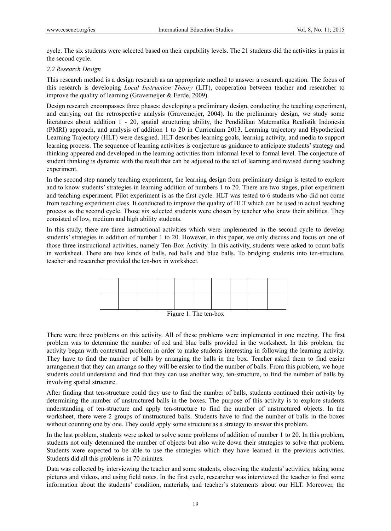cycle. The six students were selected based on their capability levels. The 21 students did the activities in pairs in the second cycle.

## *2.2 Research Design*

This research method is a design research as an appropriate method to answer a research question. The focus of this research is developing *Local Instruction Theory* (LIT), cooperation between teacher and researcher to improve the quality of learning (Gravemeijer & Eerde, 2009).

Design research encompasses three phases: developing a preliminary design, conducting the teaching experiment, and carrying out the retrospective analysis (Gravemeijer, 2004). In the preliminary design, we study some literatures about addition 1 - 20, spatial structuring ability, the Pendidikan Matematika Realistik Indonesia (PMRI) approach, and analysis of addition 1 to 20 in Curriculum 2013. Learning trajectory and Hypothetical Learning Trajectory (HLT) were designed. HLT describes learning goals, learning activity, and media to support learning process. The sequence of learning activities is conjecture as guidance to anticipate students' strategy and thinking appeared and developed in the learning activities from informal level to formal level. The conjecture of student thinking is dynamic with the result that can be adjusted to the act of learning and revised during teaching experiment.

In the second step namely teaching experiment, the learning design from preliminary design is tested to explore and to know students' strategies in learning addition of numbers 1 to 20. There are two stages, pilot experiment and teaching experiment. Pilot experiment is as the first cycle. HLT was tested to 6 students who did not come from teaching experiment class. It conducted to improve the quality of HLT which can be used in actual teaching process as the second cycle. Those six selected students were chosen by teacher who knew their abilities. They consisted of low, medium and high ability students.

In this study, there are three instructional activities which were implemented in the second cycle to develop students' strategies in addition of number 1 to 20. However, in this paper, we only discuss and focus on one of those three instructional activities, namely Ten-Box Activity. In this activity, students were asked to count balls in worksheet. There are two kinds of balls, red balls and blue balls. To bridging students into ten-structure, teacher and researcher provided the ten-box in worksheet.

Figure 1. The ten-box

There were three problems on this activity. All of these problems were implemented in one meeting. The first problem was to determine the number of red and blue balls provided in the worksheet. In this problem, the activity began with contextual problem in order to make students interesting in following the learning activity. They have to find the number of balls by arranging the balls in the box. Teacher asked them to find easier arrangement that they can arrange so they will be easier to find the number of balls. From this problem, we hope students could understand and find that they can use another way, ten-structure, to find the number of balls by involving spatial structure.

After finding that ten-structure could they use to find the number of balls, students continued their activity by determining the number of unstructured balls in the boxes. The purpose of this activity is to explore students understanding of ten-structure and apply ten-structure to find the number of unstructured objects. In the worksheet, there were 2 groups of unstructured balls. Students have to find the number of balls in the boxes without counting one by one. They could apply some structure as a strategy to answer this problem.

In the last problem, students were asked to solve some problems of addition of number 1 to 20. In this problem, students not only determined the number of objects but also write down their strategies to solve that problem. Students were expected to be able to use the strategies which they have learned in the previous activities. Students did all this problems in 70 minutes.

Data was collected by interviewing the teacher and some students, observing the students' activities, taking some pictures and videos, and using field notes. In the first cycle, researcher was interviewed the teacher to find some information about the students' condition, materials, and teacher's statements about our HLT. Moreover, the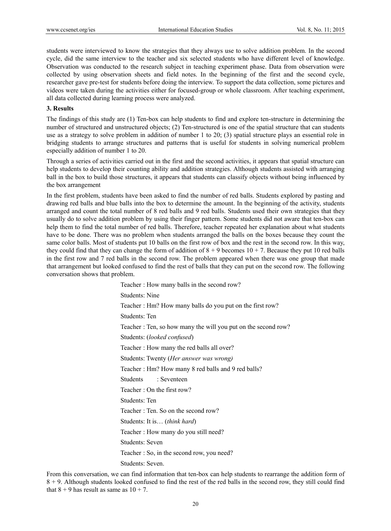students were interviewed to know the strategies that they always use to solve addition problem. In the second cycle, did the same interview to the teacher and six selected students who have different level of knowledge. Observation was conducted to the research subject in teaching experiment phase. Data from observation were collected by using observation sheets and field notes. In the beginning of the first and the second cycle, researcher gave pre-test for students before doing the interview. To support the data collection, some pictures and videos were taken during the activities either for focused-group or whole classroom. After teaching experiment, all data collected during learning process were analyzed.

### **3. Results**

The findings of this study are (1) Ten-box can help students to find and explore ten-structure in determining the number of structured and unstructured objects; (2) Ten-structured is one of the spatial structure that can students use as a strategy to solve problem in addition of number 1 to 20; (3) spatial structure plays an essential role in bridging students to arrange structures and patterns that is useful for students in solving numerical problem especially addition of number 1 to 20.

Through a series of activities carried out in the first and the second activities, it appears that spatial structure can help students to develop their counting ability and addition strategies. Although students assisted with arranging ball in the box to build those structures, it appears that students can classify objects without being influenced by the box arrangement

In the first problem, students have been asked to find the number of red balls. Students explored by pasting and drawing red balls and blue balls into the box to determine the amount. In the beginning of the activity, students arranged and count the total number of 8 red balls and 9 red balls. Students used their own strategies that they usually do to solve addition problem by using their finger pattern. Some students did not aware that ten-box can help them to find the total number of red balls. Therefore, teacher repeated her explanation about what students have to be done. There was no problem when students arranged the balls on the boxes because they count the same color balls. Most of students put 10 balls on the first row of box and the rest in the second row. In this way, they could find that they can change the form of addition of  $8 + 9$  becomes  $10 + 7$ . Because they put 10 red balls in the first row and 7 red balls in the second row. The problem appeared when there was one group that made that arrangement but looked confused to find the rest of balls that they can put on the second row. The following conversation shows that problem.

> Teacher : How many balls in the second row? Students: Nine Teacher : Hm? How many balls do you put on the first row? Students: Ten Teacher : Ten, so how many the will you put on the second row? Students: (*looked confused*) Teacher : How many the red balls all over? Students: Twenty (Her answer was wrong) Teacher : Hm? How many 8 red balls and 9 red balls? Students : Seventeen Teacher : On the first row? Students: Ten Teacher : Ten. So on the second row? Students: It is... (*think hard*) Teacher : How many do you still need? Students: Seven Teacher : So, in the second row, you need? Students: Seven.

From this conversation, we can find information that ten-box can help students to rearrange the addition form of 8 + 9. Although students looked confused to find the rest of the red balls in the second row, they still could find that  $8 + 9$  has result as same as  $10 + 7$ .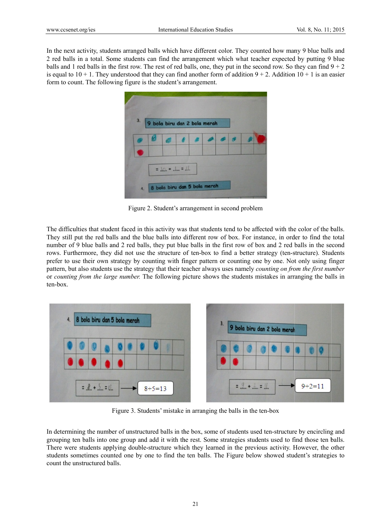In the next activity, students arranged balls which have different color. They counted how many 9 blue balls and 2 red balls in a total. Some students can find the arrangement which what teacher expected by putting 9 blue balls and 1 red balls in the first row. The rest of red balls, one, they put in the second row. So they can find  $9 + 2$ is equal to  $10 + 1$ . They understood that they can find another form of addition  $9 + 2$ . Addition  $10 + 1$  is an easier form to count. The following figure is the student's arrangement.



Figure 2. Student's arrangement in second problem

The difficulties that student faced in this activity was that students tend to be affected with the color of the balls. They still put the red balls and the blue balls into different row of box. For instance, in order to find the total number of 9 blue balls and 2 red balls, they put blue balls in the first row of box and 2 red balls in the second rows. Furthermore, they did not use the structure of ten-box to find a better strategy (ten-structure). Students prefer to use their own strategy by counting with finger pattern or counting one by one. Not only using finger pattern, but also students use the strategy that their teacher always uses namely *counting on from the first number* or *counting from the large number*. The following picture shows the students mistakes in arranging the balls in ten-box.

Figure 3. Students' mistake in arranging the balls in the ten-box

In determining the number of unstructured balls in the box, some of students used ten-structure by encircling and grouping ten balls into one group and add it with the rest. Some strategies students used to find those ten balls. There were students applying double-structure which they learned in the previous activity. However, the other students sometimes counted one by one to find the ten balls. The Figure below showed student's strategies to count the unstructured balls.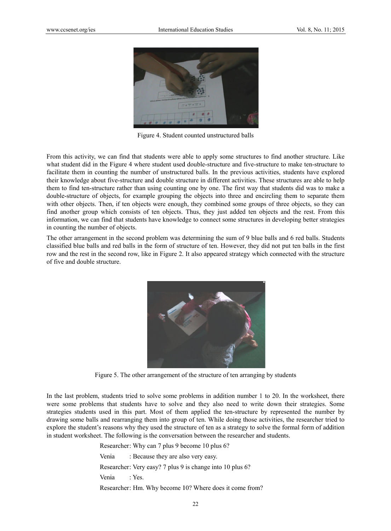

Figure 4. Student counted unstructured balls

From this activity, we can find that students were able to apply some structures to find another structure. Like what student did in the Figure 4 where student used double-structure and five-structure to make ten-structure to facilitate them in counting the number of unstructured balls. In the previous activities, students have explored their knowledge about five-structure and double structure in different activities. These structures are able to help them to find ten-structure rather than using counting one by one. The first way that students did was to make a double-structure of objects, for example grouping the objects into three and encircling them to separate them with other objects. Then, if ten objects were enough, they combined some groups of three objects, so they can find another group which consists of ten objects. Thus, they just added ten objects and the rest. From this information, we can find that students have knowledge to connect some structures in developing better strategies in counting the number of objects.

The other arrangement in the second problem was determining the sum of 9 blue balls and 6 red balls. Students classified blue balls and red balls in the form of structure of ten. However, they did not put ten balls in the first row and the rest in the second row, like in Figure 2. It also appeared strategy which connected with the structure of five and double structure.



Figure 5. The other arrangement of the structure of ten arranging by students

Figure 5. The other arrangement of the structure of ten arranging by students<br>In the last problem, students tried to solve some problems in addition number 1 to 20. In the worksheet, there were some problems that students have to solve and they also need to write down their strategies. Some strategies students used in this part. Most of them applied the ten-structure by represented the number by drawing some balls and rearranging them into group of ten. While doing those activities, the researcher tried to explore the student's reasons why they used the structure of ten as a strategy to solve the formal form of addition in student worksheet. The following is the conversation between the researcher and students.

> Researcher: Why can 7 plus 9 become 10 plus 6? Veni Researcher: Very easy? 7 plus 9 is change into 10 plus 6? Veni Researcher: Hm. Why become 10? Where does it come from? ia : Because they are also very easy.  $\cdot$  Yes.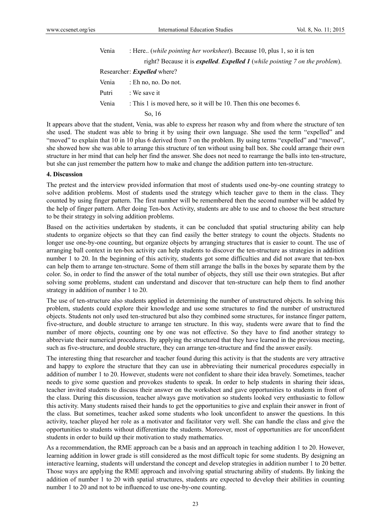| Venia | : Here (while pointing her worksheet). Because 10, plus 1, so it is ten             |
|-------|-------------------------------------------------------------------------------------|
|       | right? Because it is <i>expelled. Expelled 1</i> (while pointing 7 on the problem). |
|       | Researcher: <i>Expelled</i> where?                                                  |
| Venia | $\therefore$ Eh no, no. Do not.                                                     |
| Putri | : We save it                                                                        |
| Venia | : This 1 is moved here, so it will be 10. Then this one becomes 6.                  |
|       | So, 16                                                                              |

It appears above that the student, Venia, was able to express her reason why and from where the structure of ten she used. The student was able to bring it by using their own language. She used the term "expelled" and "moved" to explain that 10 in 10 plus 6 derived from 7 on the problem. By using terms "expelled" and "moved", she showed how she was able to arrange this structure of ten without using ball box. She could arrange their own structure in her mind that can help her find the answer. She does not need to rearrange the balls into ten-structure, but she can just remember the pattern how to make and change the addition pattern into ten-structure.

#### **4. Discussion**

The pretest and the interview provided information that most of students used one-by-one counting strategy to solve addition problems. Most of students used the strategy which teacher gave to them in the class. They counted by using finger pattern. The first number will be remembered then the second number will be added by the help of finger pattern. After doing Ten-box Activity, students are able to use and to choose the best structure to be their strategy in solving addition problems.

Based on the activities undertaken by students, it can be concluded that spatial structuring ability can help students to organize objects so that they can find easily the better strategy to count the objects. Students no longer use one-by-one counting, but organize objects by arranging structures that is easier to count. The use of arranging ball context in ten-box activity can help students to discover the ten-structure as strategies in addition number 1 to 20. In the beginning of this activity, students got some difficulties and did not aware that ten-box can help them to arrange ten-structure. Some of them still arrange the balls in the boxes by separate them by the color. So, in order to find the answer of the total number of objects, they still use their own strategies. But after solving some problems, student can understand and discover that ten-structure can help them to find another strategy in addition of number 1 to 20.

The use of ten-structure also students applied in determining the number of unstructured objects. In solving this problem, students could explore their knowledge and use some structures to find the number of unstructured objects. Students not only used ten-structured but also they combined some structures, for instance finger pattern, five-structure, and double structure to arrange ten structure. In this way, students were aware that to find the number of more objects, counting one by one was not effective. So they have to find another strategy to abbreviate their numerical procedures. By applying the structured that they have learned in the previous meeting, such as five-structure, and double structure, they can arrange ten-structure and find the answer easily.

The interesting thing that researcher and teacher found during this activity is that the students are very attractive and happy to explore the structure that they can use in abbreviating their numerical procedures especially in addition of number 1 to 20. However, students were not confident to share their idea bravely. Sometimes, teacher needs to give some question and provokes students to speak. In order to help students in sharing their ideas, teacher invited students to discuss their answer on the worksheet and gave opportunities to students in front of the class. During this discussion, teacher always gave motivation so students looked very enthusiastic to follow this activity. Many students raised their hands to get the opportunities to give and explain their answer in front of the class. But sometimes, teacher asked some students who look unconfident to answer the questions. In this activity, teacher played her role as a motivator and facilitator very well. She can handle the class and give the opportunities to students without differentiate the students. Moreover, most of opportunities are for unconfident students in order to build up their motivation to study mathematics.

As a recommendation, the RME approach can be a basis and an approach in teaching addition 1 to 20. However, learning addition in lower grade is still considered as the most difficult topic for some students. By designing an interactive learning, students will understand the concept and develop strategies in addition number 1 to 20 better. Those ways are applying the RME approach and involving spatial structuring ability of students. By linking the addition of number 1 to 20 with spatial structures, students are expected to develop their abilities in counting number 1 to 20 and not to be influenced to use one-by-one counting.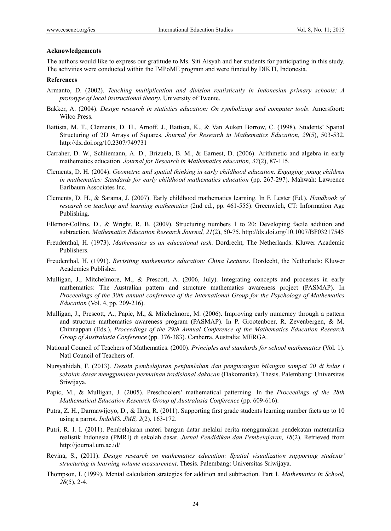#### **Acknowledgements**

The authors would like to express our gratitude to Ms. Siti Aisyah and her students for participating in this study. The activities were conducted within the IMPoME program and were funded by DIKTI, Indonesia.

### **References**

- Armanto, D. (2002). *Teaching multiplication and division realistically in Indonesian primary schools: A prototype of local instructional theory*. University of Twente.
- Bakker, A. (2004). *Design research in statistics education: On symbolizing and computer tools*. Amersfoort: Wilco Press.
- Battista, M. T., Clements, D. H., Arnoff, J., Battista, K., & Van Auken Borrow, C. (1998). Students' Spatial Structuring of 2D Arrays of Squares. *Journal for Research in Mathematics Education, 29*(5), 503-532. http://dx.doi.org/10.2307/749731
- Carraher, D. W., Schliemann, A. D., Brizuela, B. M., & Earnest, D. (2006). Arithmetic and algebra in early mathematics education. *Journal for Research in Mathematics education, 37*(2), 87-115.
- Clements, D. H. (2004). *Geometric and spatial thinking in early childhood education. Engaging young children in mathematics: Standards for early childhood mathematics education* (pp. 267-297). Mahwah: Lawrence Earlbaum Associates Inc.
- Clements, D. H., & Sarama, J. (2007). Early childhood mathematics learning. In F. Lester (Ed.), *Handbook of research on teaching and learning mathematics* (2nd ed., pp. 461-555). Greenwich, CT: Information Age Publishing.
- Ellemor-Collins, D., & Wright, R. B. (2009). Structuring numbers 1 to 20: Developing facile addition and subtraction. *Mathematics Education Research Journal, 21*(2), 50-75. http://dx.doi.org/10.1007/BF03217545
- Freudenthal, H. (1973). *Mathematics as an educational task*. Dordrecht, The Netherlands: Kluwer Academic Publishers.
- Freudenthal, H. (1991). *Revisiting mathematics education: China Lectures*. Dordecht, the Netherlads: Kluwer Academics Publisher.
- Mulligan, J., Mitchelmore, M., & Prescott, A. (2006, July). Integrating concepts and processes in early mathematics: The Australian pattern and structure mathematics awareness project (PASMAP). In *Proceedings of the 30th annual conference of the International Group for the Psychology of Mathematics Education* (Vol. 4, pp. 209-216).
- Mulligan, J., Prescott, A., Papic, M., & Mitchelmore, M. (2006). Improving early numeracy through a pattern and structure mathematics awareness program (PASMAP). In P. Grootenboer, R. Zevenbergen, & M. Chinnappan (Eds.), *Proceedings of the 29th Annual Conference of the Mathematics Education Research Group of Australasia Conference* (pp. 376-383). Canberra, Australia: MERGA.
- National Council of Teachers of Mathematics. (2000). *Principles and standards for school mathematics* (Vol. 1). Natl Council of Teachers of.
- Nursyahidah, F. (2013). *Desain pembelajaran penjumlahan dan pengurangan bilangan sampai 20 di kelas i sekolah dasar menggunakan permainan tradisional dakocan* (Dakomatika). Thesis. Palembang: Universitas Sriwijaya.
- Papic, M., & Mulligan, J. (2005). Preschoolers' mathematical patterning. In the *Proceedings of the 28th Mathematical Education Research Group of Australasia Conference* (pp. 609-616).
- Putra, Z. H., Darmawijoyo, D., & Ilma, R. (2011). Supporting first grade students learning number facts up to 10 using a parrot. *IndoMS. JME, 2*(2), 163-172.
- Putri, R. I. I. (2011). Pembelajaran materi bangun datar melalui cerita menggunakan pendekatan matematika realistik Indonesia (PMRI) di sekolah dasar. *Jurnal Pendidikan dan Pembelajaran, 18*(2). Retrieved from http://journal.um.ac.id/
- Revina, S., (2011). *Design research on mathematics education: Spatial visualization supporting students' structuring in learning volume measurement*. Thesis. Palembang: Universitas Sriwijaya.
- Thompson, I. (1999). Mental calculation strategies for addition and subtraction. Part 1. *Mathematics in School, 28*(5), 2-4.